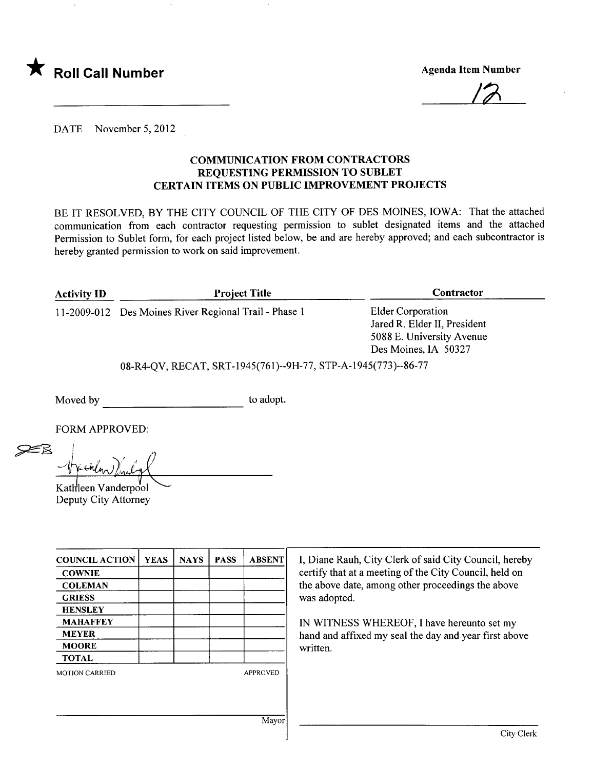

i~

DATE November 5, 2012

#### COMMUNICATION FROM CONTRACTORS REQUESTING PERMISSION TO SUBLET CERTAIN ITEMS ON PUBLIC IMPROVEMENT PROJECTS

BE IT RESOLVED, BY THE CITY COUNCIL OF THE CITY OF DES MOINES, IOWA: That the attached communication from each contractor requesting permission to sublet designated items and the attached Permission to Sublet form, for each project listed below, be and are hereby approved; and each subcontractor is hereby granted permission to work on said improvement.

| <b>Activity ID</b> | <b>Project Title</b>                                       | Contractor                                                                                                    |
|--------------------|------------------------------------------------------------|---------------------------------------------------------------------------------------------------------------|
|                    | 11-2009-012 Des Moines River Regional Trail - Phase 1      | <b>Elder Corporation</b><br>Jared R. Elder II, President<br>5088 E. University Avenue<br>Des Moines, IA 50327 |
|                    | 08 B4 OV BECAT SRT-1945(761)--9H-77 STP-A-1945(773)--86-77 |                                                                                                               |

08-R4-QV, RECAT, SRT-1945(761)--9H-77, STP-A-1945(773)--86-77

Moved by to adopt.

FORM APPROVED:

9=B f J I 7 -Vrenlew Vinly

Kathleen Vanderpool Deputy City Attorney

| <b>COUNCIL ACTION</b> | <b>YEAS</b> | <b>NAYS</b> | <b>PASS</b> | <b>ABSENT</b> | I, Diane             |
|-----------------------|-------------|-------------|-------------|---------------|----------------------|
| <b>COWNIE</b>         |             |             |             |               | certify <sup>1</sup> |
| <b>COLEMAN</b>        |             |             |             |               | the abo              |
| <b>GRIESS</b>         |             |             |             |               | was ado              |
| <b>HENSLEY</b>        |             |             |             |               |                      |
| <b>MAHAFFEY</b>       |             |             |             |               | <b>IN WIT</b>        |
| <b>MEYER</b>          |             |             |             |               | hand ar              |
| <b>MOORE</b>          |             |             |             |               | written.             |
| <b>TOTAL</b>          |             |             |             |               |                      |

MOTION CARRIED APPROVED

I, Diane Rauh, City Clerk of said City Council, hereby certify that at a meeting of the City Council, held on the above date, among other proceedings the above was adopted.

IN WITNESS WHEREOF, I have hereunto set my hand and affixed my seal the day and year first above

Mayor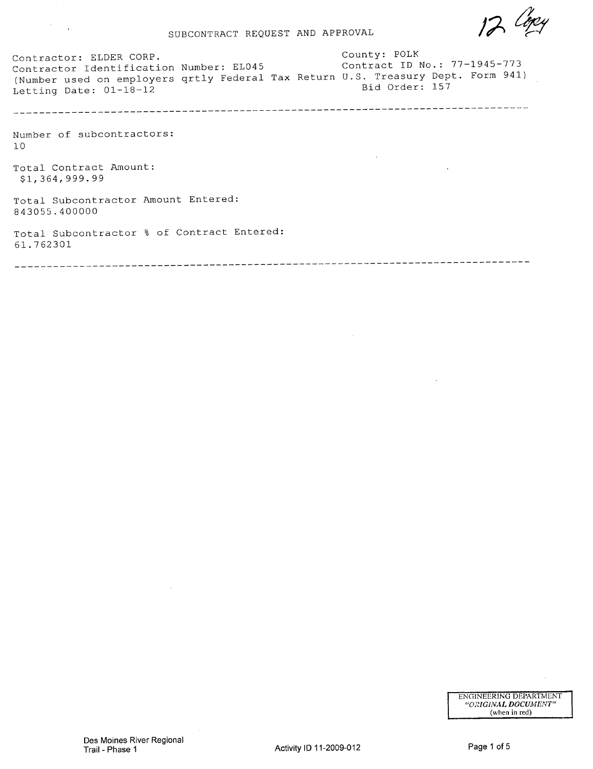#### SUBCONTRACT REQUEST AND APPROVAL

Contractor: ELDER CORP. Contractor Identification Number: EL045 (Number used on employers qrtly Federal Tax Return U. S. Treasury Dept. Form 941) Letting Date: 01-18-12 County: POLK Contract 10 No.: 77-1945-773 Bid Order: 157

- - - - --- -- - -- - -- -- --- -- - -- - - - - - --- - - - -- - - - ----- ---- -- - - -- - -- -- - --- - - - -- -- - -- -- - --

Number of subcontractors: 10

Total Contract Amount: \$1,364,999.99

Total Subcontractor Amount Entered: 843055.400000

Total Subcontractor % of Contract Entered: 61.762301

- - - - -- - -- - - - - - --- - -- --- -- - --- --- - -- - -- - - ----- - -- - - - - - --- - - - - - - --- - - - - - - - - - - - - ---

| ENGINEERING DEPARTMENT      |
|-----------------------------|
| "ORIGINA <b>L DOCUMENT"</b> |
| (when in red)               |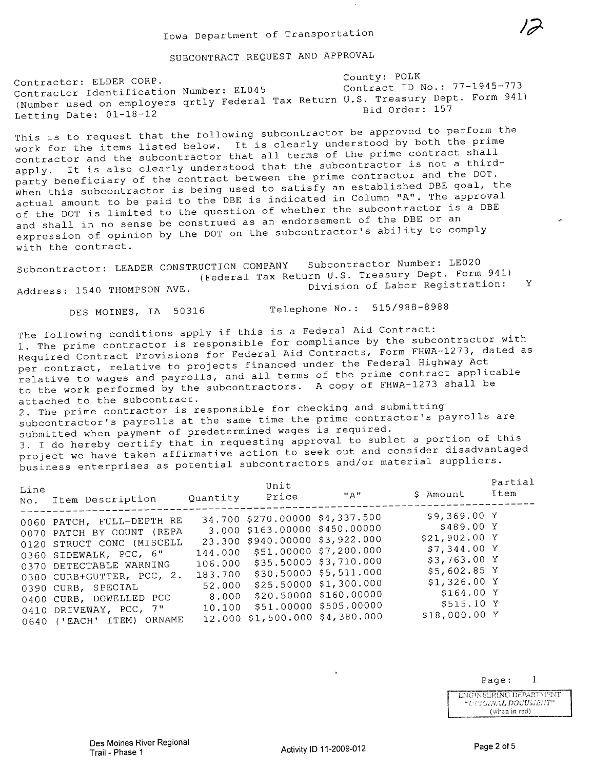SUBCONTRACT REQUEST AND APPROVAL

Contractor: ELDER CORP.<br>Contractor Identification Number: EL045 Contractor Identification Number: EL045 (Number used on employers qrtly Federal Tax Return U.S. Treasury Dept. Form 941) Letting Date: 01-18-12 County: POLK Contract ID No.: 77-1945-773 Bid Order: 157

This is to request that the following subcontractor be approved to perform the work for the items listed below. It is clearly understood by both the prime<br>contractor and the subcontractor that all terms of the prime contract shall contractor and the subcontractor that all terms of the prime concrete shall  $\alpha$  apply. It is also clearly understood that the subcontractor is not a therm party beneficiary of the contract between the prime contractor and the DOT.<br>When this subcontractor is being used to satisfy an established DBE goal, the When this subcontractor is being used to satisfy an established BBE goal, the actual amount to be paid to the DBE is indicated in Column  $\ddots$  . The approval of the DOT is limited to the question of whether the subcontractor is a DBE and shall in no sense be construed as an endorsement of the DBE or an expression of opinion by the DOT on the subcontractor's ability to comply<br>with the contract.

Subcontractor: LEADER CONSTRUCTION COMPANY Subcontractor Number: Lesso (Federal Tax Return U. S. Treasury Dept. Form 941) Address: 1540 THOMPSON AVE. Division of Labor Registration: Y

DES MOINES, IA 50316 Telephone No.: 515/988-8988

The following conditions apply if this is a Federal Aid Contract: 1. The prime contractor is responsible for compliance by the subcontractor with Required Contract Provisions for Federal Aid Contracts, Form FHWA-1273, dated as<br>per contract, relative to projects financed under the Federal Highway Act relative to wages and payrolls, and all terms of the prime contract applicable to the work performed by the subcontractors. A copy of FHWA-1273 shall be attached to the subcontract.

2. The prime contractor is responsible for checking and submitting subcontractor's payrolls at the same time the prime contractor's payrolls are submitted when payment of predetermined wages is required.

3. I do hereby certify that in requesting approval to sublet a portion of this project we have taken affirmative action to seek out and consider disadvantaged business enterprises as potential subcontractors and/or material suppliers.

| Line<br>No. | Item Description                                                                                                                                                                                                                                                                 | Ouantity                                                   | Unit<br>Price                                                                                                                       | "A"                                                                                                                                                      | \$ Amount                                                                                                                                                | Partial<br>Item |
|-------------|----------------------------------------------------------------------------------------------------------------------------------------------------------------------------------------------------------------------------------------------------------------------------------|------------------------------------------------------------|-------------------------------------------------------------------------------------------------------------------------------------|----------------------------------------------------------------------------------------------------------------------------------------------------------|----------------------------------------------------------------------------------------------------------------------------------------------------------|-----------------|
|             | 0060 PATCH, FULL-DEPTH RE<br>0070 PATCH BY COUNT (REPA<br>0120 STRUCT CONC (MISCELL<br>0360 SIDEWALK, PCC, 6"<br>0370 DETECTABLE WARNING<br>0380 CURB+GUTTER, PCC, 2.<br>0390 CURB, SPECIAL<br>0400 CURB, DOWELLED PCC<br>0410 DRIVEWAY, PCC, 7"<br>ORNAME<br>0640 ('EACH' ITEM) | 144.000<br>106.000<br>183.700<br>52.000<br>8.000<br>10.100 | 34.700 \$270.00000 \$4,337.500<br>3.000 \$163.00000 \$450.00000<br>23.300 \$940.00000 \$3,922.000<br>12.000 \$1,500.000 \$4,380.000 | \$51.00000 \$7,200.000<br>\$35.50000 \$3,710.000<br>\$30.50000 \$5,511.000<br>\$25.50000 \$1,300.000<br>\$20.50000 \$160.00000<br>\$51.00000 \$505.00000 | \$9,369.00 Y<br>\$489.00 Y<br>\$21,902.00 Y<br>\$7,344.00 Y<br>\$3,763.00 Y<br>\$5,602.85 Y<br>\$1,326.00 Y<br>\$164.00 Y<br>\$515.10 Y<br>\$18,000.00 Y |                 |

Page: 1

ENCINEERING DEPARTMENT "C RIGINAL DOCUMENT" (when in red)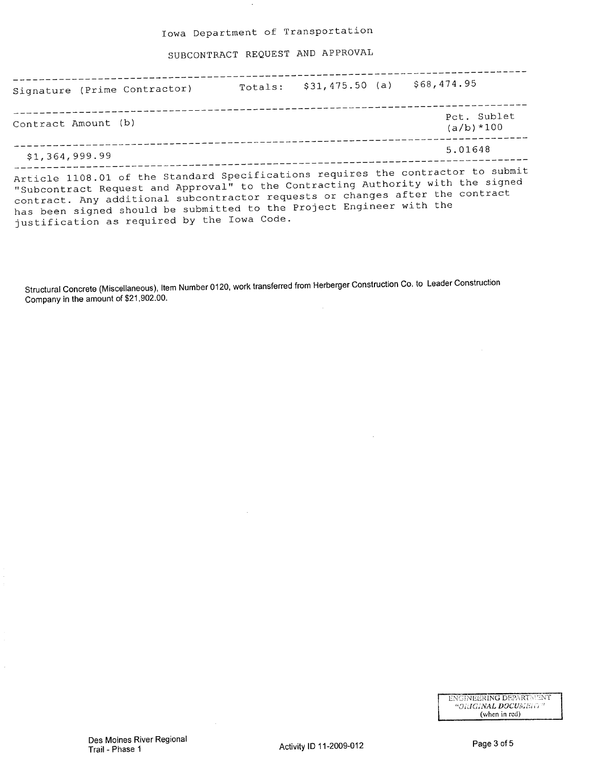# Iowa Department of Transportation

 $\overline{\phantom{a}}$ 

# SUBCONTRACT REQUEST AND APPROVAL

| Signature (Prime Contractor)                                                                                                                                                                                                                                                                                                 | Totals: | $$31,475.50$ (a) | \$68,474.95                  |
|------------------------------------------------------------------------------------------------------------------------------------------------------------------------------------------------------------------------------------------------------------------------------------------------------------------------------|---------|------------------|------------------------------|
| Contract Amount (b)                                                                                                                                                                                                                                                                                                          |         |                  | Pct. Sublet<br>$(a/b) * 100$ |
| \$1,364,999.99                                                                                                                                                                                                                                                                                                               |         |                  | 5.01648                      |
| Article 1108.01 of the Standard Specifications requires the contractor to submit<br>"Subcontract Request and Approval" to the Contracting Authority with the signed<br>contract. Any additional subcontractor requests or changes after the contract<br>has been signed should be submitted to the Project Engineer with the |         |                  |                              |

justification as required by the Iowa Code.

Structural Concrete (Miscellaneous), Item Number 0120, work transferred from Herberger Construction Co. to Leader Construction Company in the amount of \$21 ,902.00.

 $\hat{\mathbf{r}}$ 

| <b>ENGINEERING DEPARTMENT</b> |
|-------------------------------|
| "ORIGINAL DOCUMERT"           |
| (when in red)                 |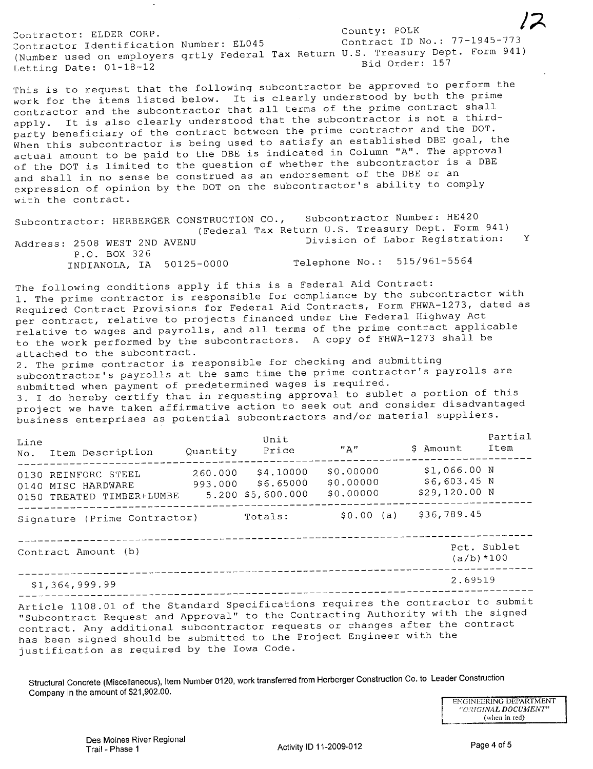Contractor: ELDER CORP.<br>Contractor Identification Number: EL045 (Number used on employers qrtly Federal Tax Return U. S. Treasury Dept. Form 941) Letting Date: 01-18-12 County: POLK Contract 10 No.: 77-1945-773 Bid Order: 157 i~

This is to request that the following subcontractor be approved to perform the work for the items listed below. It is clearly understood by both the prime contractor and the subcontractor that aii terms of the prime contract shall apply. It is also clearly understood that the subcontractor is not a thirdparty beneficiary of the contract between the prime contractor and the DOT. When this subcontractor is being used to satisfy an established DBE goal, the actual amount to be paid to the DBE is indicated in Column "A". The approval of the DOT is limited to the question of whether the subcontractor is a DBE and shall in no sense be construed as an endorsement of the DBE or an expression of opinion by the DOT on the subcontractor's ability to comply with the contract.

Subcontractor: HERBERGER CONSTRUCTION CO., Subcontractor Number: HE420 (Federal Tax Return U.S. Treasury Dept. Form 941)<br>Division of Labor Registration: Address: 2508 WEST 2ND AVENU<br>
P.O. BOX 326 INDIANOLA, IA 50125-0000 Telephone No.: 515/961-5564

The following conditions apply if this is a Federal Aid Contract: 1. The prime contractor is responsible for compliance by the subcontractor with Required Contract Provisions for Federal Aid Contracts, Form FHWA-1273, dated as per contract, relative to projects financed under the Federal Highway Act relative to wages and payrolls, and all terms of the prime contract applicable to the work performed by the subcontractors. A copy of FHWA-1273 shall be attached to the subcontract.

2. The prime contractor is responsible for checking and submitting subcontractor's payrolls at the same time the prime contractor's payrolls are submitted when payment of predetermined wages is required. 3. I do hereby certify that in requesting approval to sublet a portion of this

project we have taken affirmative action to seek out and consider disadvantaged business enterprises as potential subcontractors and/or material suppliers.

| Line | No. Item Description                                                             | Quantity           | Unit<br>Price                               | "A"                                 | \$ Amount                                     | Partial<br>Item |
|------|----------------------------------------------------------------------------------|--------------------|---------------------------------------------|-------------------------------------|-----------------------------------------------|-----------------|
|      | 0130 REINFORC STEEL<br>0140 MISC HARDWARE<br>0150 TREATED TIMBER+LUMBE           | 260,000<br>993.000 | \$4,10000<br>\$6,65000<br>5.200 \$5,600.000 | \$0.00000<br>\$0.00000<br>\$0.00000 | \$1,066.00 N<br>\$6,603.45 N<br>\$29,120.00 N |                 |
|      | Signature (Prime Contractor)                                                     |                    | Totals:                                     | \$0.00(a)                           | \$36,789.45                                   |                 |
|      | Contract Amount (b)                                                              |                    |                                             |                                     | $(a/b) * 100$                                 | Pct. Sublet     |
|      | \$1,364,999.99                                                                   |                    |                                             |                                     | 2.69519                                       |                 |
|      | Article 1108.01 of the Standard Specifications requires the contractor to submit |                    |                                             |                                     |                                               |                 |

"Subcontract Request and Approval" to the Contracting Authority with the signed contract. Any additional subcontractor requests or changes after the contract has been signed should be submitted to the Project Engineer with the justification as required by the Iowa Code.

Structural Concrete (Miscellaneous), Item Number 0120, work transferred from Herberger Construction Co. to Leader Construction Company in the amount of \$21,902.00.

ENGINEERING DEPARTMENT "ORIGINA**L DOCUMENT**" (when in red)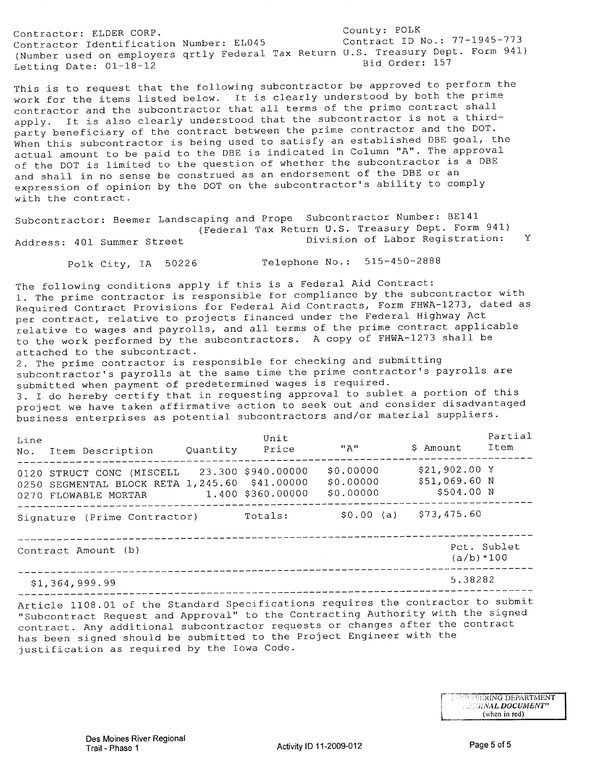Contractor: ELDER CORP. Contractor Identification Number: EL045 (Number used on employers qrtly Federal Tax Return U. S. Treasury Dept. Form 941) Letting Date: 01-18-12 County: POLK Contract 10 No.: 77-1945-773 Bid Order: 157

This is to request that the following subcontractor be approved to perform the work for the items listed below. It is clearly understood by both the prime contractor and the subcontractor that all terms of the prime contract shall apply. It is also clearly understood that the subcontractor is not a thirdparty beneficiary of the contract between the prime contractor and the DOT. When this subcontractor is being used to satisfy an established DBE goal, the actual amount to be paid to the DBE is indicated in Column "A". The approval of the DOT is limited to the question of whether the subcontractor is a DBE and shall in no sense be construed as an endorsement of the DBE or an expression of opinion by the DOT on the subcontractor's ability to comply with the contract.

Subcontractor: Beemer Landscaping and Prope Subcontractor Number: BE141<br>(Federal Tax Return U.S. Treasury Dept. Form 941) Rddress: 401 Summer Street Division of Labor Registration: Y

Polk City, IA 50226 Telephone No.: 515-450-2888

The following conditions apply if this is a Federal Aid Contract: 1. The prime contractor is responsible for compliance by the subcontractor with Required Contract Provisions for Federal Aid Contracts, Form FHWA-1273, dated as per contract, relative to projects financed under the Federal Highway Act relative to wages and payrolls, and all terms of the prime contract applicable to the work performed by the subcontractors. A copy of FHWA-1273 shall be attached to the subcontract.

2. The prime contractor is responsible for checking and submitting subcontractor's payrolls at the same time the prime contractor's payrolls are submitted when payment of predetermined wages is required.

3. I do hereby certify that in requesting approval to sublet a portion of this project we have taken affirmative action to seek out and consider disadvantaged business enterprises as potential subcontractors and/or material suppliers.

| Line<br>No. | Item Description                                                                                   | Quantity | Unit<br>Price                           | "A"                                 | \$ Amount                                    | Partial<br>Item |
|-------------|----------------------------------------------------------------------------------------------------|----------|-----------------------------------------|-------------------------------------|----------------------------------------------|-----------------|
|             | 0120 STRUCT CONC (MISCELL<br>0250 SEGMENTAL BLOCK RETA 1,245.60 \$41.00000<br>0270 FLOWABLE MORTAR |          | 23,300 \$940.00000<br>1.400 \$360.00000 | \$0.00000<br>\$0.00000<br>\$0.00000 | \$21,902.00 Y<br>\$51,069.60 N<br>\$504.00 N |                 |
|             | Signature (Prime Contractor)                                                                       |          | Totals:                                 | \$0.00(a)                           | \$73,475.60                                  |                 |
|             | Contract Amount (b)                                                                                |          |                                         |                                     | Pct. Sublet<br>$(a/b)*100$                   |                 |
|             | \$1,364,999.99                                                                                     |          |                                         |                                     | 5.38282                                      |                 |

Article 1108.01 of the Standard Specifications requires the contractor to submit "Subcontract Request and Approval" to the Contracting Authority with the signed contract. Any additional subcontractor requests or changes after the contract has been signed should be submitted to the Project Engineer with the justification as required by the Iowa Code.

> *NEERING DEPARTMENT* . **...; GINAL DOCUMENT"** (when in red)